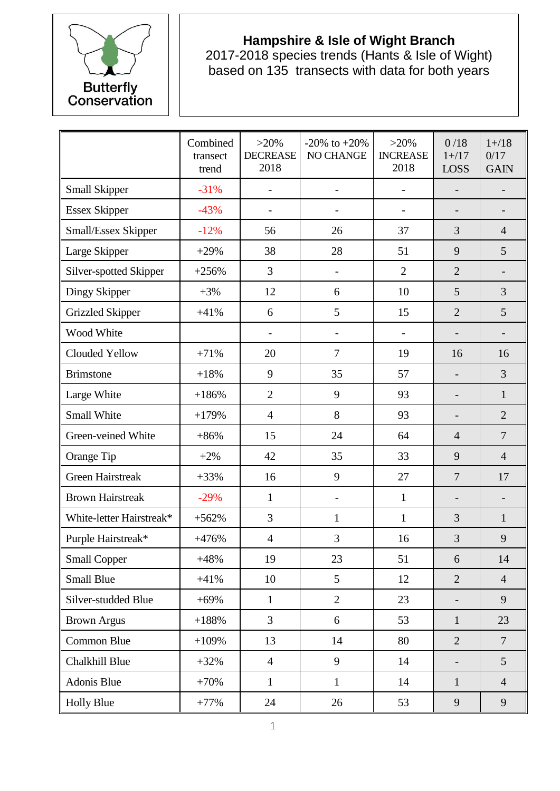

## **Hampshire & Isle of Wight Branch**

2017-2018 species trends (Hants & Isle of Wight) based on 135 transects with data for both years

|                          | Combined<br>transect<br>trend | $>20\%$<br><b>DECREASE</b><br>2018 | -20% to $+20%$<br>NO CHANGE | $>20\%$<br><b>INCREASE</b><br>2018 | 0/18<br>$1 + / 17$<br><b>LOSS</b> | $1 + / 18$<br>0/17<br><b>GAIN</b> |
|--------------------------|-------------------------------|------------------------------------|-----------------------------|------------------------------------|-----------------------------------|-----------------------------------|
| <b>Small Skipper</b>     | $-31%$                        |                                    | $\overline{\phantom{a}}$    | $\overline{\phantom{0}}$           |                                   | $\qquad \qquad -$                 |
| <b>Essex Skipper</b>     | $-43%$                        | $\overline{\phantom{a}}$           | -                           | $\overline{\phantom{0}}$           |                                   | $\overline{\phantom{0}}$          |
| Small/Essex Skipper      | $-12%$                        | 56                                 | 26                          | 37                                 | 3                                 | $\overline{4}$                    |
| Large Skipper            | $+29%$                        | 38                                 | 28                          | 51                                 | 9                                 | 5                                 |
| Silver-spotted Skipper   | $+256%$                       | 3                                  | $\overline{\phantom{a}}$    | $\overline{2}$                     | $\overline{2}$                    | $\overline{\phantom{0}}$          |
| Dingy Skipper            | $+3%$                         | 12                                 | 6                           | 10                                 | 5                                 | 3                                 |
| <b>Grizzled Skipper</b>  | $+41%$                        | 6                                  | 5                           | 15                                 | $\overline{2}$                    | 5                                 |
| Wood White               |                               |                                    | $\overline{\phantom{a}}$    | $\overline{\phantom{0}}$           |                                   |                                   |
| Clouded Yellow           | $+71%$                        | 20                                 | $\overline{7}$              | 19                                 | 16                                | 16                                |
| <b>Brimstone</b>         | $+18%$                        | 9                                  | 35                          | 57                                 |                                   | 3                                 |
| Large White              | $+186%$                       | $\overline{2}$                     | 9                           | 93                                 |                                   | $\mathbf{1}$                      |
| Small White              | $+179%$                       | $\overline{4}$                     | 8                           | 93                                 |                                   | $\overline{2}$                    |
| Green-veined White       | $+86%$                        | 15                                 | 24                          | 64                                 | $\overline{4}$                    | $\overline{7}$                    |
| Orange Tip               | $+2%$                         | 42                                 | 35                          | 33                                 | 9                                 | $\overline{4}$                    |
| <b>Green Hairstreak</b>  | $+33%$                        | 16                                 | 9                           | 27                                 | $\overline{7}$                    | 17                                |
| <b>Brown Hairstreak</b>  | $-29%$                        | $\mathbf{1}$                       | $\overline{\phantom{a}}$    | $\mathbf{1}$                       |                                   |                                   |
| White-letter Hairstreak* | $+562%$                       | 3                                  | $\mathbf{1}$                | $\mathbf{1}$                       | 3                                 | 1                                 |
| Purple Hairstreak*       | $+476%$                       | $\overline{4}$                     | 3                           | 16                                 | 3                                 | 9                                 |
| <b>Small Copper</b>      | $+48%$                        | 19                                 | 23                          | 51                                 | 6                                 | 14                                |
| <b>Small Blue</b>        | $+41%$                        | 10                                 | 5                           | 12                                 | $\overline{2}$                    | $\overline{4}$                    |
| Silver-studded Blue      | $+69%$                        | $\mathbf{1}$                       | $\overline{2}$              | 23                                 |                                   | 9                                 |
| <b>Brown Argus</b>       | $+188%$                       | 3                                  | 6                           | 53                                 | $\mathbf{1}$                      | 23                                |
| Common Blue              | $+109%$                       | 13                                 | 14                          | 80                                 | $\overline{2}$                    | $\overline{7}$                    |
| Chalkhill Blue           | $+32%$                        | $\overline{4}$                     | 9                           | 14                                 |                                   | 5                                 |
| Adonis Blue              | $+70%$                        | $\mathbf{1}$                       | $\mathbf{1}$                | 14                                 | $\mathbf{1}$                      | $\overline{4}$                    |
| <b>Holly Blue</b>        | $+77%$                        | 24                                 | 26                          | 53                                 | 9                                 | 9                                 |